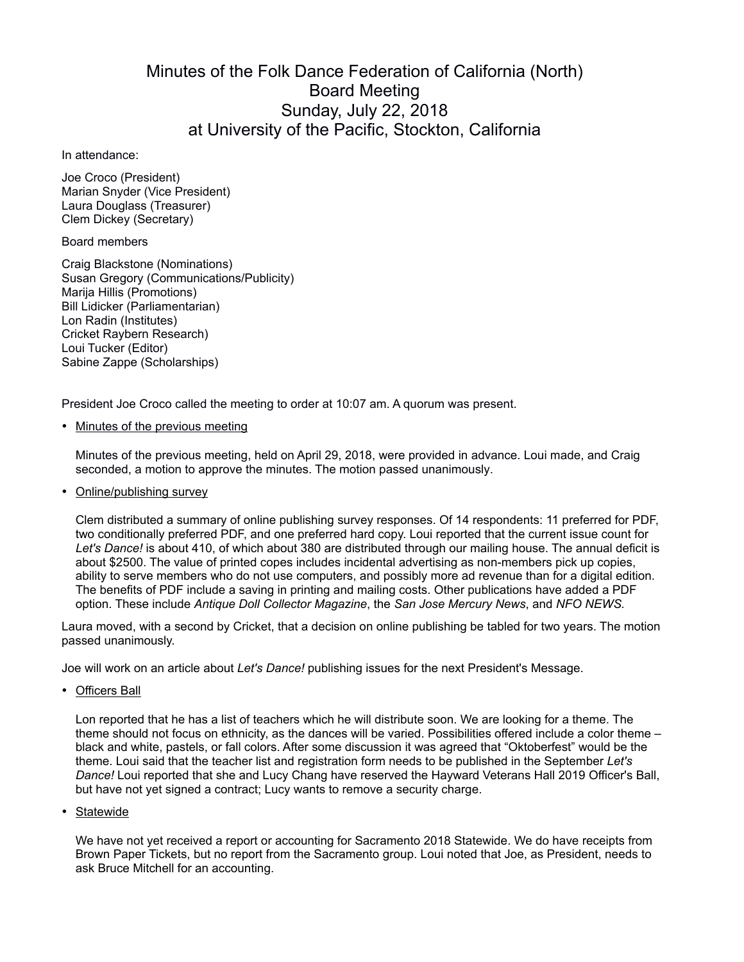## Minutes of the Folk Dance Federation of California (North) Board Meeting Sunday, July 22, 2018 at University of the Pacific, Stockton, California

In attendance:

Joe Croco (President) Marian Snyder (Vice President) Laura Douglass (Treasurer) Clem Dickey (Secretary)

## Board members

Craig Blackstone (Nominations) Susan Gregory (Communications/Publicity) Marija Hillis (Promotions) Bill Lidicker (Parliamentarian) Lon Radin (Institutes) Cricket Raybern Research) Loui Tucker (Editor) Sabine Zappe (Scholarships)

President Joe Croco called the meeting to order at 10:07 am. A quorum was present.

• Minutes of the previous meeting

Minutes of the previous meeting, held on April 29, 2018, were provided in advance. Loui made, and Craig seconded, a motion to approve the minutes. The motion passed unanimously.

• Online/publishing survey

Clem distributed a summary of online publishing survey responses. Of 14 respondents: 11 preferred for PDF, two conditionally preferred PDF, and one preferred hard copy. Loui reported that the current issue count for *Let's Dance!* is about 410, of which about 380 are distributed through our mailing house. The annual deficit is about \$2500. The value of printed copes includes incidental advertising as non-members pick up copies, ability to serve members who do not use computers, and possibly more ad revenue than for a digital edition. The benefits of PDF include a saving in printing and mailing costs. Other publications have added a PDF option. These include *Antique Doll Collector Magazine*, the *San Jose Mercury News*, and *NFO NEWS.*

Laura moved, with a second by Cricket, that a decision on online publishing be tabled for two years. The motion passed unanimously.

Joe will work on an article about *Let's Dance!* publishing issues for the next President's Message.

• Officers Ball

Lon reported that he has a list of teachers which he will distribute soon. We are looking for a theme. The theme should not focus on ethnicity, as the dances will be varied. Possibilities offered include a color theme – black and white, pastels, or fall colors. After some discussion it was agreed that "Oktoberfest" would be the theme. Loui said that the teacher list and registration form needs to be published in the September *Let's Dance!* Loui reported that she and Lucy Chang have reserved the Hayward Veterans Hall 2019 Officer's Ball, but have not yet signed a contract; Lucy wants to remove a security charge.

• Statewide

We have not yet received a report or accounting for Sacramento 2018 Statewide. We do have receipts from Brown Paper Tickets, but no report from the Sacramento group. Loui noted that Joe, as President, needs to ask Bruce Mitchell for an accounting.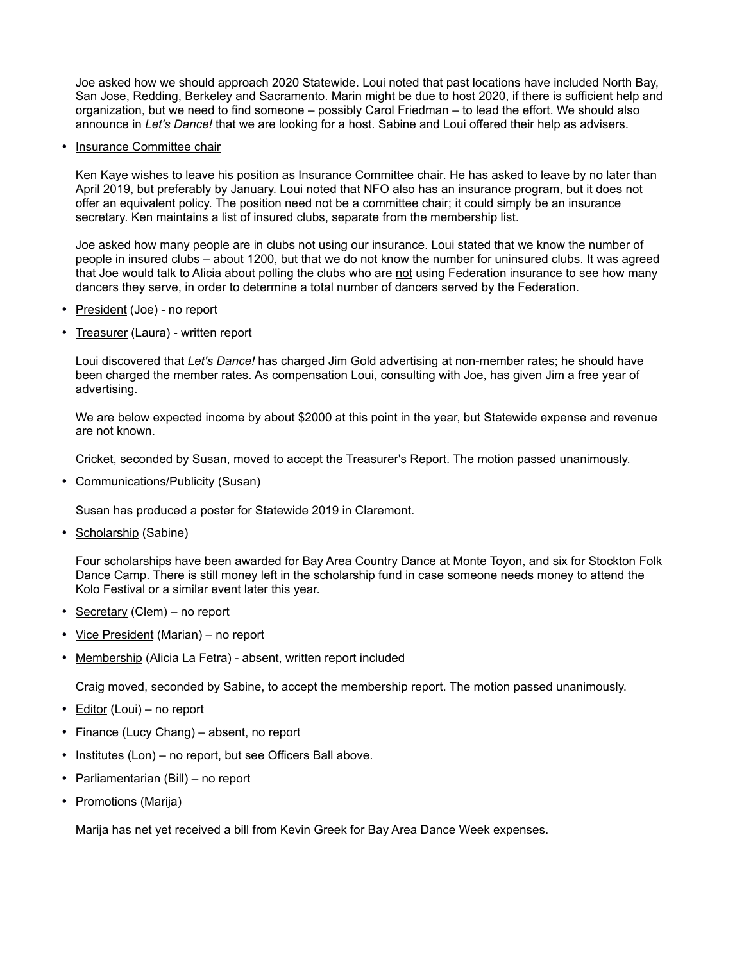Joe asked how we should approach 2020 Statewide. Loui noted that past locations have included North Bay, San Jose, Redding, Berkeley and Sacramento. Marin might be due to host 2020, if there is sufficient help and organization, but we need to find someone – possibly Carol Friedman – to lead the effort. We should also announce in *Let's Dance!* that we are looking for a host. Sabine and Loui offered their help as advisers.

• Insurance Committee chair

Ken Kaye wishes to leave his position as Insurance Committee chair. He has asked to leave by no later than April 2019, but preferably by January. Loui noted that NFO also has an insurance program, but it does not offer an equivalent policy. The position need not be a committee chair; it could simply be an insurance secretary. Ken maintains a list of insured clubs, separate from the membership list.

Joe asked how many people are in clubs not using our insurance. Loui stated that we know the number of people in insured clubs – about 1200, but that we do not know the number for uninsured clubs. It was agreed that Joe would talk to Alicia about polling the clubs who are not using Federation insurance to see how many dancers they serve, in order to determine a total number of dancers served by the Federation.

- President (Joe) no report
- Treasurer (Laura) written report

Loui discovered that *Let's Dance!* has charged Jim Gold advertising at non-member rates; he should have been charged the member rates. As compensation Loui, consulting with Joe, has given Jim a free year of advertising.

We are below expected income by about \$2000 at this point in the year, but Statewide expense and revenue are not known.

Cricket, seconded by Susan, moved to accept the Treasurer's Report. The motion passed unanimously.

• Communications/Publicity (Susan)

Susan has produced a poster for Statewide 2019 in Claremont.

• Scholarship (Sabine)

Four scholarships have been awarded for Bay Area Country Dance at Monte Toyon, and six for Stockton Folk Dance Camp. There is still money left in the scholarship fund in case someone needs money to attend the Kolo Festival or a similar event later this year.

- Secretary (Clem) no report
- Vice President (Marian) no report
- Membership (Alicia La Fetra) absent, written report included

Craig moved, seconded by Sabine, to accept the membership report. The motion passed unanimously.

- Editor (Loui) no report
- Finance (Lucy Chang) absent, no report
- Institutes (Lon) no report, but see Officers Ball above.
- Parliamentarian (Bill) no report
- Promotions (Marija)

Marija has net yet received a bill from Kevin Greek for Bay Area Dance Week expenses.